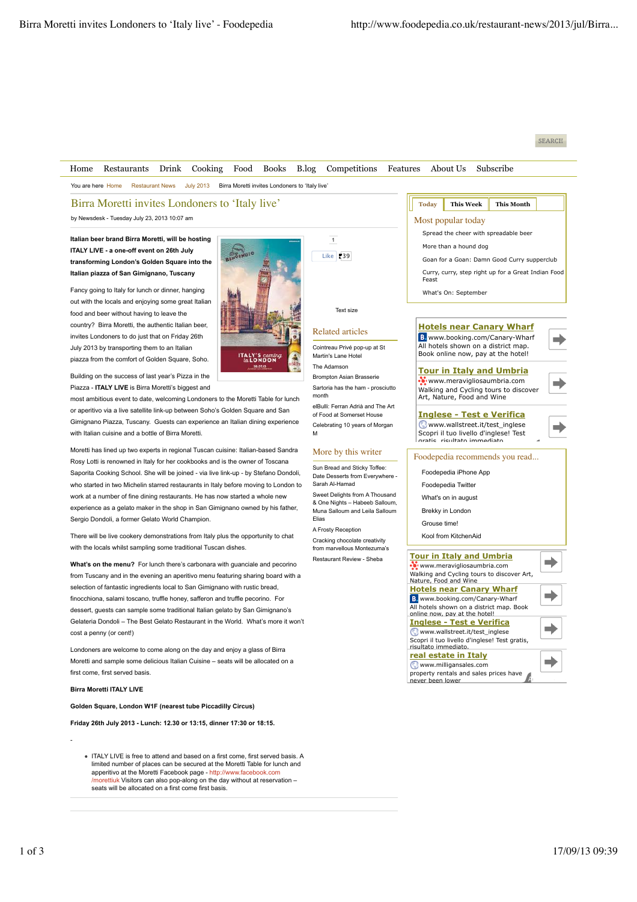## SEARCH



ITALY LIVE is free to attend and based on a first come, first served basis. A limited number of places can be secured at the Moretti Table for lunch and apperitivo at the Moretti Facebook page - http://www.facebook.com /morettiuk Visitors can also pop-along on the day without at reservation – seats will be allocated on a first come first basis.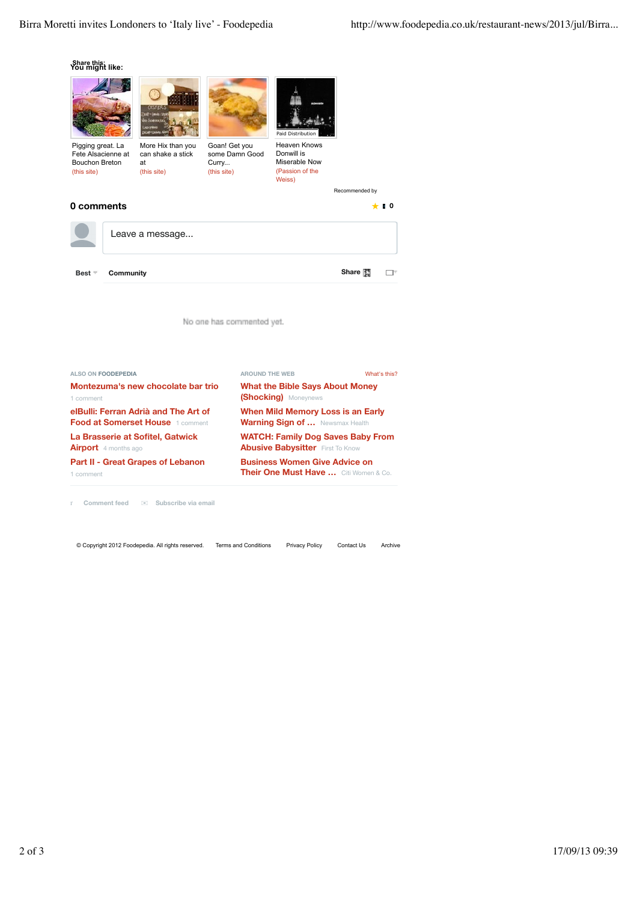$\Box$   $^\vee$ 





1 comment

r **Comment feed** ✉ **Subscribe via email**

© Copyright 2012 Foodepedia. All rights reserved. Terms and Conditions Privacy Policy Contact Us Archive